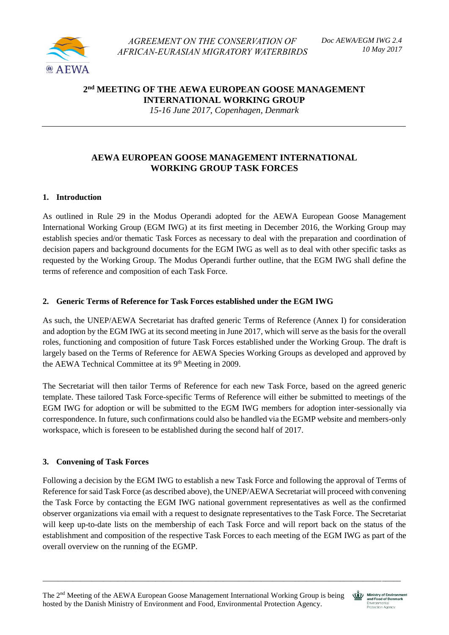

**2 nd MEETING OF THE AEWA EUROPEAN GOOSE MANAGEMENT INTERNATIONAL WORKING GROUP**

*15-16 June 2017, Copenhagen, Denmark*

# **AEWA EUROPEAN GOOSE MANAGEMENT INTERNATIONAL WORKING GROUP TASK FORCES**

## **1. Introduction**

As outlined in Rule 29 in the Modus Operandi adopted for the AEWA European Goose Management International Working Group (EGM IWG) at its first meeting in December 2016, the Working Group may establish species and/or thematic Task Forces as necessary to deal with the preparation and coordination of decision papers and background documents for the EGM IWG as well as to deal with other specific tasks as requested by the Working Group. The Modus Operandi further outline, that the EGM IWG shall define the terms of reference and composition of each Task Force.

### **2. Generic Terms of Reference for Task Forces established under the EGM IWG**

As such, the UNEP/AEWA Secretariat has drafted generic Terms of Reference (Annex I) for consideration and adoption by the EGM IWG at its second meeting in June 2017, which will serve as the basis for the overall roles, functioning and composition of future Task Forces established under the Working Group. The draft is largely based on the Terms of Reference for AEWA Species Working Groups as developed and approved by the AEWA Technical Committee at its 9<sup>th</sup> Meeting in 2009.

The Secretariat will then tailor Terms of Reference for each new Task Force, based on the agreed generic template. These tailored Task Force-specific Terms of Reference will either be submitted to meetings of the EGM IWG for adoption or will be submitted to the EGM IWG members for adoption inter-sessionally via correspondence. In future, such confirmations could also be handled via the EGMP website and members-only workspace, which is foreseen to be established during the second half of 2017.

## **3. Convening of Task Forces**

Following a decision by the EGM IWG to establish a new Task Force and following the approval of Terms of Reference for said Task Force (as described above), the UNEP/AEWA Secretariat will proceed with convening the Task Force by contacting the EGM IWG national government representatives as well as the confirmed observer organizations via email with a request to designate representatives to the Task Force. The Secretariat will keep up-to-date lists on the membership of each Task Force and will report back on the status of the establishment and composition of the respective Task Forces to each meeting of the EGM IWG as part of the overall overview on the running of the EGMP.

\_\_\_\_\_\_\_\_\_\_\_\_\_\_\_\_\_\_\_\_\_\_\_\_\_\_\_\_\_\_\_\_\_\_\_\_\_\_\_\_\_\_\_\_\_\_\_\_\_\_\_\_\_\_\_\_\_\_\_\_\_\_\_\_\_\_\_\_\_\_\_\_\_\_\_\_\_\_\_\_\_\_\_\_\_\_\_\_\_\_\_\_\_\_\_



Ministry of Environment Environmental<br>Protection Agency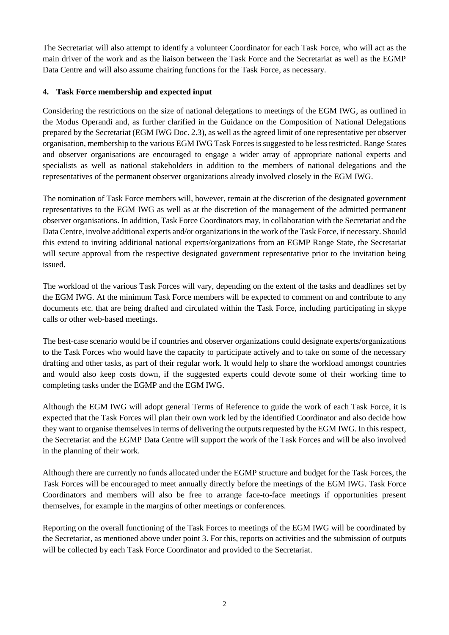The Secretariat will also attempt to identify a volunteer Coordinator for each Task Force, who will act as the main driver of the work and as the liaison between the Task Force and the Secretariat as well as the EGMP Data Centre and will also assume chairing functions for the Task Force, as necessary.

## **4. Task Force membership and expected input**

Considering the restrictions on the size of national delegations to meetings of the EGM IWG, as outlined in the Modus Operandi and, as further clarified in the Guidance on the Composition of National Delegations prepared by the Secretariat (EGM IWG Doc. 2.3), as well as the agreed limit of one representative per observer organisation, membership to the various EGM IWG Task Forces is suggested to be less restricted. Range States and observer organisations are encouraged to engage a wider array of appropriate national experts and specialists as well as national stakeholders in addition to the members of national delegations and the representatives of the permanent observer organizations already involved closely in the EGM IWG.

The nomination of Task Force members will, however, remain at the discretion of the designated government representatives to the EGM IWG as well as at the discretion of the management of the admitted permanent observer organisations. In addition, Task Force Coordinators may, in collaboration with the Secretariat and the Data Centre, involve additional experts and/or organizations in the work of the Task Force, if necessary. Should this extend to inviting additional national experts/organizations from an EGMP Range State, the Secretariat will secure approval from the respective designated government representative prior to the invitation being issued.

The workload of the various Task Forces will vary, depending on the extent of the tasks and deadlines set by the EGM IWG. At the minimum Task Force members will be expected to comment on and contribute to any documents etc. that are being drafted and circulated within the Task Force, including participating in skype calls or other web-based meetings.

The best-case scenario would be if countries and observer organizations could designate experts/organizations to the Task Forces who would have the capacity to participate actively and to take on some of the necessary drafting and other tasks, as part of their regular work. It would help to share the workload amongst countries and would also keep costs down, if the suggested experts could devote some of their working time to completing tasks under the EGMP and the EGM IWG.

Although the EGM IWG will adopt general Terms of Reference to guide the work of each Task Force, it is expected that the Task Forces will plan their own work led by the identified Coordinator and also decide how they want to organise themselves in terms of delivering the outputs requested by the EGM IWG. In this respect, the Secretariat and the EGMP Data Centre will support the work of the Task Forces and will be also involved in the planning of their work.

Although there are currently no funds allocated under the EGMP structure and budget for the Task Forces, the Task Forces will be encouraged to meet annually directly before the meetings of the EGM IWG. Task Force Coordinators and members will also be free to arrange face-to-face meetings if opportunities present themselves, for example in the margins of other meetings or conferences.

Reporting on the overall functioning of the Task Forces to meetings of the EGM IWG will be coordinated by the Secretariat, as mentioned above under point 3. For this, reports on activities and the submission of outputs will be collected by each Task Force Coordinator and provided to the Secretariat.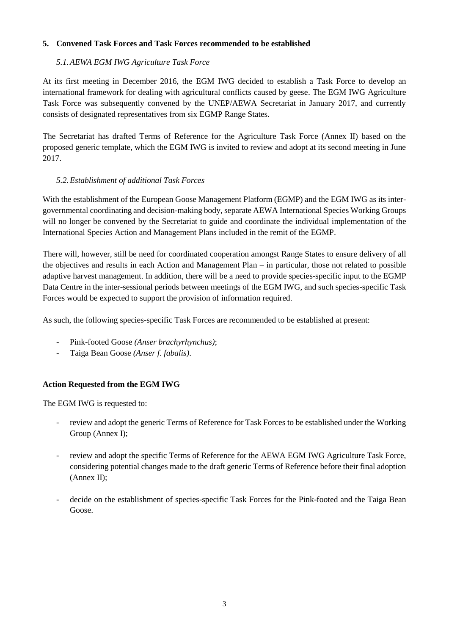### **5. Convened Task Forces and Task Forces recommended to be established**

### *5.1.AEWA EGM IWG Agriculture Task Force*

At its first meeting in December 2016, the EGM IWG decided to establish a Task Force to develop an international framework for dealing with agricultural conflicts caused by geese. The EGM IWG Agriculture Task Force was subsequently convened by the UNEP/AEWA Secretariat in January 2017, and currently consists of designated representatives from six EGMP Range States.

The Secretariat has drafted Terms of Reference for the Agriculture Task Force (Annex II) based on the proposed generic template, which the EGM IWG is invited to review and adopt at its second meeting in June 2017.

## *5.2.Establishment of additional Task Forces*

With the establishment of the European Goose Management Platform (EGMP) and the EGM IWG as its intergovernmental coordinating and decision-making body, separate AEWA International Species Working Groups will no longer be convened by the Secretariat to guide and coordinate the individual implementation of the International Species Action and Management Plans included in the remit of the EGMP.

There will, however, still be need for coordinated cooperation amongst Range States to ensure delivery of all the objectives and results in each Action and Management Plan – in particular, those not related to possible adaptive harvest management. In addition, there will be a need to provide species-specific input to the EGMP Data Centre in the inter-sessional periods between meetings of the EGM IWG, and such species-specific Task Forces would be expected to support the provision of information required.

As such, the following species-specific Task Forces are recommended to be established at present:

- Pink-footed Goose *(Anser brachyrhynchus)*;
- Taiga Bean Goose *(Anser f. fabalis)*.

## **Action Requested from the EGM IWG**

The EGM IWG is requested to:

- review and adopt the generic Terms of Reference for Task Forces to be established under the Working Group (Annex I);
- review and adopt the specific Terms of Reference for the AEWA EGM IWG Agriculture Task Force, considering potential changes made to the draft generic Terms of Reference before their final adoption (Annex II);
- decide on the establishment of species-specific Task Forces for the Pink-footed and the Taiga Bean Goose.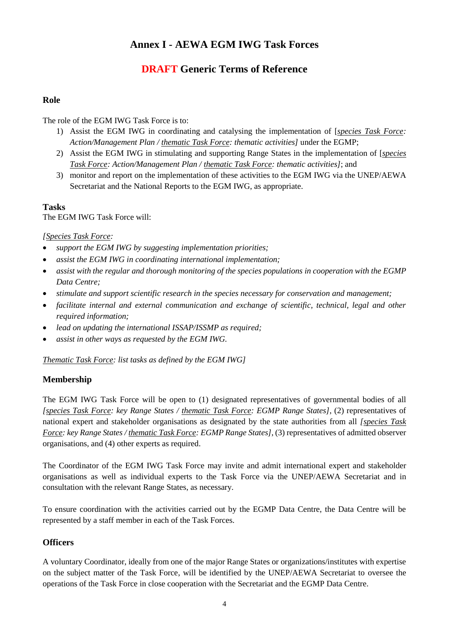# **Annex I - AEWA EGM IWG Task Forces**

# **DRAFT Generic Terms of Reference**

## **Role**

## The role of the EGM IWG Task Force is to:

- 1) Assist the EGM IWG in coordinating and catalysing the implementation of [*species Task Force: Action/Management Plan / thematic Task Force: thematic activities]* under the EGMP;
- 2) Assist the EGM IWG in stimulating and supporting Range States in the implementation of [*species Task Force: Action/Management Plan / thematic Task Force: thematic activities]*; and
- 3) monitor and report on the implementation of these activities to the EGM IWG via the UNEP/AEWA Secretariat and the National Reports to the EGM IWG, as appropriate.

#### **Tasks** The EGM IWG Task Force will:

## *[Species Task Force:*

- *support the EGM IWG by suggesting implementation priorities;*
- *assist the EGM IWG in coordinating international implementation;*
- *assist with the regular and thorough monitoring of the species populations in cooperation with the EGMP Data Centre;*
- *stimulate and support scientific research in the species necessary for conservation and management;*
- *facilitate internal and external communication and exchange of scientific, technical, legal and other required information;*
- *lead on updating the international ISSAP/ISSMP as required;*
- *assist in other ways as requested by the EGM IWG.*

*Thematic Task Force: list tasks as defined by the EGM IWG]*

## **Membership**

The EGM IWG Task Force will be open to (1) designated representatives of governmental bodies of all *[species Task Force: key Range States / thematic Task Force: EGMP Range States]*, (2) representatives of national expert and stakeholder organisations as designated by the state authorities from all *[species Task Force: key Range States / thematic Task Force: EGMP Range States]*, (3) representatives of admitted observer organisations, and (4) other experts as required.

The Coordinator of the EGM IWG Task Force may invite and admit international expert and stakeholder organisations as well as individual experts to the Task Force via the UNEP/AEWA Secretariat and in consultation with the relevant Range States, as necessary.

To ensure coordination with the activities carried out by the EGMP Data Centre, the Data Centre will be represented by a staff member in each of the Task Forces.

### **Officers**

A voluntary Coordinator, ideally from one of the major Range States or organizations/institutes with expertise on the subject matter of the Task Force, will be identified by the UNEP/AEWA Secretariat to oversee the operations of the Task Force in close cooperation with the Secretariat and the EGMP Data Centre.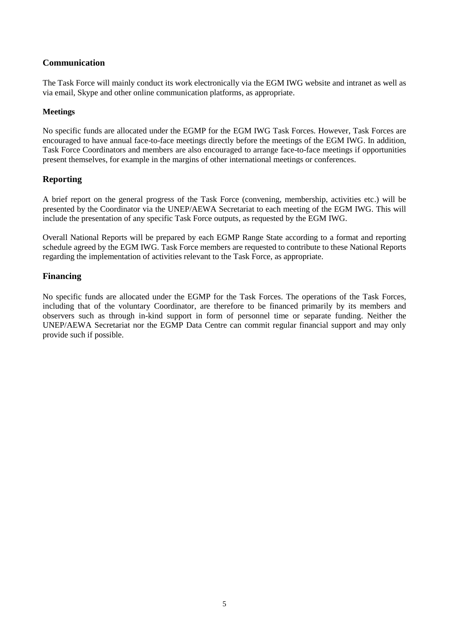## **Communication**

The Task Force will mainly conduct its work electronically via the EGM IWG website and intranet as well as via email, Skype and other online communication platforms, as appropriate.

#### **Meetings**

No specific funds are allocated under the EGMP for the EGM IWG Task Forces. However, Task Forces are encouraged to have annual face-to-face meetings directly before the meetings of the EGM IWG. In addition, Task Force Coordinators and members are also encouraged to arrange face-to-face meetings if opportunities present themselves, for example in the margins of other international meetings or conferences.

### **Reporting**

A brief report on the general progress of the Task Force (convening, membership, activities etc.) will be presented by the Coordinator via the UNEP/AEWA Secretariat to each meeting of the EGM IWG. This will include the presentation of any specific Task Force outputs, as requested by the EGM IWG.

Overall National Reports will be prepared by each EGMP Range State according to a format and reporting schedule agreed by the EGM IWG. Task Force members are requested to contribute to these National Reports regarding the implementation of activities relevant to the Task Force, as appropriate.

#### **Financing**

No specific funds are allocated under the EGMP for the Task Forces. The operations of the Task Forces, including that of the voluntary Coordinator, are therefore to be financed primarily by its members and observers such as through in-kind support in form of personnel time or separate funding. Neither the UNEP/AEWA Secretariat nor the EGMP Data Centre can commit regular financial support and may only provide such if possible.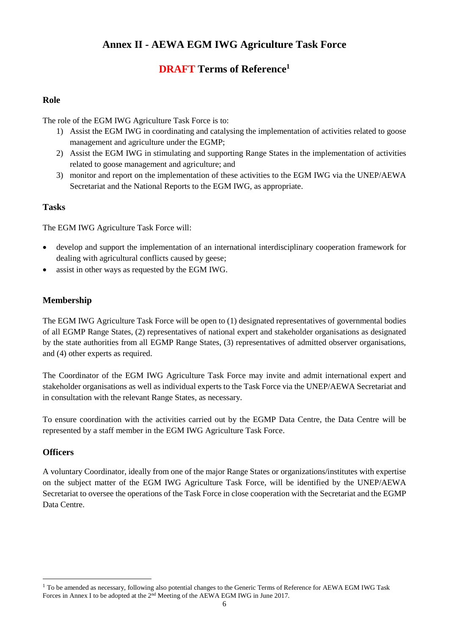# **Annex II - AEWA EGM IWG Agriculture Task Force**

# **DRAFT Terms of Reference<sup>1</sup>**

## **Role**

The role of the EGM IWG Agriculture Task Force is to:

- 1) Assist the EGM IWG in coordinating and catalysing the implementation of activities related to goose management and agriculture under the EGMP;
- 2) Assist the EGM IWG in stimulating and supporting Range States in the implementation of activities related to goose management and agriculture; and
- 3) monitor and report on the implementation of these activities to the EGM IWG via the UNEP/AEWA Secretariat and the National Reports to the EGM IWG, as appropriate.

## **Tasks**

The EGM IWG Agriculture Task Force will:

- develop and support the implementation of an international interdisciplinary cooperation framework for dealing with agricultural conflicts caused by geese;
- assist in other ways as requested by the EGM IWG.

## **Membership**

The EGM IWG Agriculture Task Force will be open to (1) designated representatives of governmental bodies of all EGMP Range States, (2) representatives of national expert and stakeholder organisations as designated by the state authorities from all EGMP Range States, (3) representatives of admitted observer organisations, and (4) other experts as required.

The Coordinator of the EGM IWG Agriculture Task Force may invite and admit international expert and stakeholder organisations as well as individual experts to the Task Force via the UNEP/AEWA Secretariat and in consultation with the relevant Range States, as necessary.

To ensure coordination with the activities carried out by the EGMP Data Centre, the Data Centre will be represented by a staff member in the EGM IWG Agriculture Task Force.

### **Officers**

<u>.</u>

A voluntary Coordinator, ideally from one of the major Range States or organizations/institutes with expertise on the subject matter of the EGM IWG Agriculture Task Force, will be identified by the UNEP/AEWA Secretariat to oversee the operations of the Task Force in close cooperation with the Secretariat and the EGMP Data Centre.

<sup>&</sup>lt;sup>1</sup> To be amended as necessary, following also potential changes to the Generic Terms of Reference for AEWA EGM IWG Task Forces in Annex I to be adopted at the 2nd Meeting of the AEWA EGM IWG in June 2017.